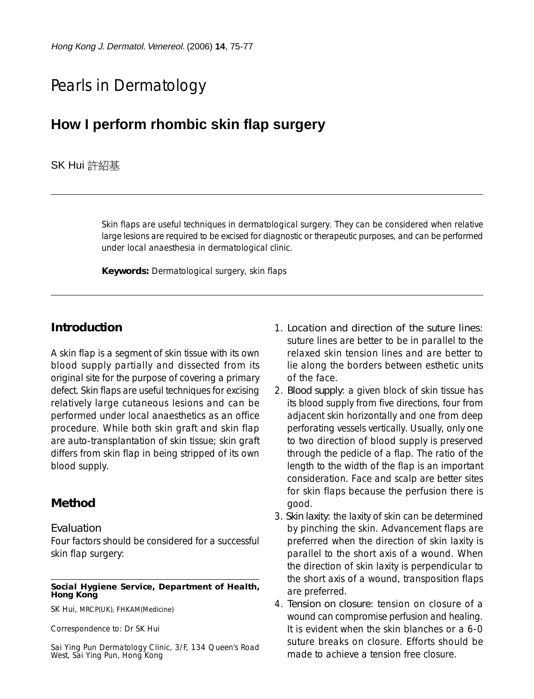# Pearls in Dermatology

## **How I perform rhombic skin flap surgery**

## SK Hui 許紹基

Skin flaps are useful techniques in dermatological surgery. They can be considered when relative large lesions are required to be excised for diagnostic or therapeutic purposes, and can be performed under local anaesthesia in dermatological clinic.

**Keywords:** Dermatological surgery, skin flaps

## **Introduction**

A skin flap is a segment of skin tissue with its own blood supply partially and dissected from its original site for the purpose of covering a primary defect. Skin flaps are useful techniques for excising relatively large cutaneous lesions and can be performed under local anaesthetics as an office procedure. While both skin graft and skin flap are auto-transplantation of skin tissue; skin graft differs from skin flap in being stripped of its own blood supply.

## **Method**

#### *Evaluation*

Four factors should be considered for a successful skin flap surgery:

#### **Social Hygiene Service, Department of Health, Hong Kong**

SK Hui, MRCP(UK), FHKAM(Medicine)

Correspondence to: Dr SK Hui

Sai Ying Pun Dermatology Clinic, 3/F, 134 Queen's Road West, Sai Ying Pun, Hong Kong

- 1. *Location and direction of the suture lines*: suture lines are better to be in parallel to the relaxed skin tension lines and are better to lie along the borders between esthetic units of the face.
- 2. *Blood supply*: a given block of skin tissue has its blood supply from five directions, four from adjacent skin horizontally and one from deep perforating vessels vertically. Usually, only one to two direction of blood supply is preserved through the pedicle of a flap. The ratio of the length to the width of the flap is an important consideration. Face and scalp are better sites for skin flaps because the perfusion there is good.
- 3. *Skin laxity*: the laxity of skin can be determined by pinching the skin. Advancement flaps are preferred when the direction of skin laxity is parallel to the short axis of a wound. When the direction of skin laxity is perpendicular to the short axis of a wound, transposition flaps are preferred.
- 4. *Tension on closure*: tension on closure of a wound can compromise perfusion and healing. It is evident when the skin blanches or a 6-0 suture breaks on closure. Efforts should be made to achieve a tension free closure.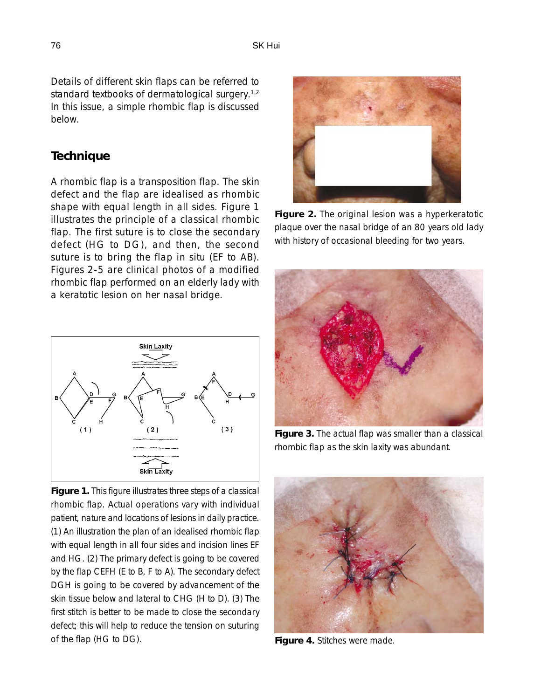Details of different skin flaps can be referred to standard textbooks of dermatological surgery.<sup>1,2</sup> In this issue, a simple rhombic flap is discussed below.

## **Technique**

A rhombic flap is a transposition flap. The skin defect and the flap are idealised as rhombic shape with equal length in all sides. Figure 1 illustrates the principle of a classical rhombic flap. The first suture is to close the secondary defect (HG to DG), and then, the second suture is to bring the flap in situ (EF to AB). Figures 2-5 are clinical photos of a modified rhombic flap performed on an elderly lady with a keratotic lesion on her nasal bridge.



**Figure 1.** This figure illustrates three steps of a classical rhombic flap. Actual operations vary with individual patient, nature and locations of lesions in daily practice. (1) An illustration the plan of an idealised rhombic flap with equal length in all four sides and incision lines EF and HG. (2) The primary defect is going to be covered by the flap CEFH (E to B, F to A). The secondary defect DGH is going to be covered by advancement of the skin tissue below and lateral to CHG (H to D). (3) The first stitch is better to be made to close the secondary defect; this will help to reduce the tension on suturing of the flap (HG to DG).



**Figure 2.** The original lesion was a hyperkeratotic plaque over the nasal bridge of an 80 years old lady with history of occasional bleeding for two years.



**Figure 3.** The actual flap was smaller than a classical rhombic flap as the skin laxity was abundant.



**Figure 4.** Stitches were made.